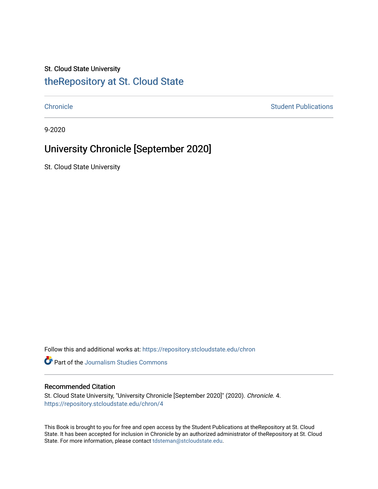#### St. Cloud State University

#### [theRepository at St. Cloud State](https://repository.stcloudstate.edu/)

[Chronicle](https://repository.stcloudstate.edu/chron) **Student Publications** [Student Publications](https://repository.stcloudstate.edu/studentpub) **Student Publications** 

9-2020

#### University Chronicle [September 2020]

St. Cloud State University

Follow this and additional works at: [https://repository.stcloudstate.edu/chron](https://repository.stcloudstate.edu/chron?utm_source=repository.stcloudstate.edu%2Fchron%2F4&utm_medium=PDF&utm_campaign=PDFCoverPages) 

Part of the [Journalism Studies Commons](http://network.bepress.com/hgg/discipline/333?utm_source=repository.stcloudstate.edu%2Fchron%2F4&utm_medium=PDF&utm_campaign=PDFCoverPages)

#### Recommended Citation

St. Cloud State University, "University Chronicle [September 2020]" (2020). Chronicle. 4. [https://repository.stcloudstate.edu/chron/4](https://repository.stcloudstate.edu/chron/4?utm_source=repository.stcloudstate.edu%2Fchron%2F4&utm_medium=PDF&utm_campaign=PDFCoverPages) 

This Book is brought to you for free and open access by the Student Publications at theRepository at St. Cloud State. It has been accepted for inclusion in Chronicle by an authorized administrator of theRepository at St. Cloud State. For more information, please contact [tdsteman@stcloudstate.edu](mailto:tdsteman@stcloudstate.edu).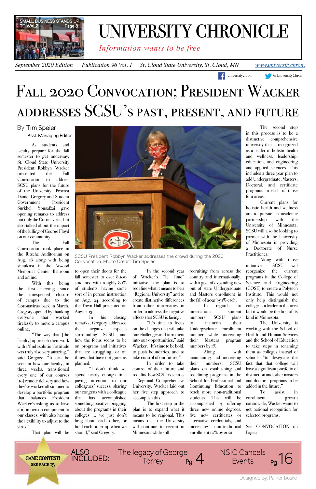*Information wants to be free*

*September 2020 Edition* Publication 96 Vol. 1 St. Cloud State University, St. Cloud, MN *[www.universitychron.](http://universitychron.com/)* 

# FALL 2020 CONVOCATION; PRESIDENT WACKER addresses SCSU's past, present, and future

#### By Tim Speier Asst. Managing Editor

As students and faculty prepare for the fall semester to get underway, St. Cloud State University President Robbyn Wacker presented the Fall Convocation to address SCSU plans for the future of the University. Provost Daniel Gregory and Student Government President Surkhel Yousafzai gave opening remarks to address not only the Coronavirus, but also talked about the impact of the killing of George Floyd on our community.

The Fall Convocation took place in the Ritsche Auditorium on Aug. 18 along with being simulcast in the Atwood Memorial Center Ballroom and online.

With this being the first meeting since the unexpected closure of campus due to the Coronavirus back in March, Gregory opened by thanking everyone that worked tirelessly to move a campus online.

"The way that [the faculty] approach their work with a 'find a solution' attitude was truly also very amazing," said Gregory. "It can be seen in how our faculty, in three weeks, transitioned every one of our courses [to] remote delivery and how they've worked all summer to develop a portfolio program that balances President Wacker's asking us to have a[n] in person component to our classes, with also having the flexibility to adjust to the virus."



That plan will be

to open their doors for the fall semester to over 8,100 students, with roughly 80% of students having some sort of in person instruction on Aug. 24, according to the Town Hall presented on August 13.

In his closing remarks, Gregory addressed the negative aspects surrounding SCSU and how the focus seems to be on programs and initiatives that are struggling, or on things that have not gone as planned.

"I don't think we spend nearly enough time paying attention to our colleagues' success, sharing our congrats with a colleague that has accomplished something positive, bragging about the programs in their colleges … we just don't brag about each other, or hold each other up when we should," said Gregory.

In the second year of Wacker's "It Time" initiative, the plan is to redefine what it means to be a "Regional University" and to create distinctive differences from other universities in order to address the negative effects that SCSU is facing.



"It's time to focus on the changes that will take our challenges and turn them into our opportunities," said Wacker. "It's time to be bold, to push boundaries, and to take control of our future." In order to take control of their future and redefine how SCSU is seen as a Regional Comprehensive University, Wacker laid out her five step approach to accomplish this. The first step in the plan is to expand what it means to be regional. This means that the University will continue to recruit in Minnesota while still

recruiting from across the country and internationally, with a goal of expanding new out of state Undergraduate and Masters enrollment in the fall of 2021 by 1% each.

In regards to international student numbers, SCSU plans to maintain their Undergraduate enrollment number while increasing their Masters program numbers by 1%.

Along

their numbers, SCSU plans on establishing and redefining programs in the School for Professional and Continuing Education to reach more non-traditional students. This will be accomplished by offering three new online degrees, five new certificates or alternative credentials, and increasing non-traditional enrollment 10% by 2021.

The second step in this process is to be a distinctive comprehensive university that is recognized as a leader in holistic health and wellness, leadership, education, and engineering and applied sciences. This includes a three year plan to add Undergraduate, Masters, Doctoral, and certificate programs in each of those four areas.

**[universitychron](http://www.facebook.com/universitychron/) [@UniversityChron](http://twitter.com/UniversityChron)** 

Current plans for holistic health and wellness are to pursue an academic partnership with the University of Minnesota. SCSU will also be looking to partner with the University of Minnesota in providing a Doctorate of Nurse Practitioner.

maintaining and increasing schools "to designate the The University is working with the School of Health and Human Services and the School of Education to take steps in renaming with them as colleges instead of fact that that college will have a significant portfolio of distinction and other masters and doctoral programs to be added in the future." To assist in enrollment growth nationwide, Wacker wants to get national recognition for selected programs.

Along with those initiatives, SCSU will reorganize the current programs in the College of Science and Engineering (COSE) to create a Polytech Institute. This would not only help distinguish the college as a leader in this area but it would be the first of its kind in Minnesota.

See CONVOCATION on Page 4

SCSU President Robbyn Wacker addresses the crowd during the 2020 Convocation. Photo Credit: Tim Speier



## UNIVERSITY CHRONICLE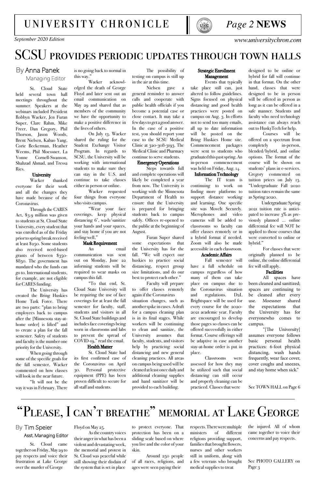### *Page 2* **NEWS**

*September 2020 Edition [www.universitychron.com](http://universitychron.com/)*

### [university chronicle](http://universitychron.com/)



## SCSU provides periodic updates through town halls

#### By Anna Panek Managing Editor

St. Cloud State held several town hall meetings throughout the summer. Speakers at the webinars included President Robbyn Wacker, Jen Furan Super, Clare Rahm, Mike Freer, Dan Gregory, Phil Thorson, Jason Woods, Brent Nielsen, Kabao Yang, Corie Beckerman, Heather Weems, Phil Moessner, La Vonne Cornell-Swanson, Shahzad Ahmad, and Tressa Ries.

#### **University**

Wacker thanked everyone for their work and all the changes they have made because of the Coronavirus.

Through the CARES Act, \$3.9 million was given to students at St. Cloud State University, every student that was enrolled as of the Friday prior to spring break received at least \$250. Some students also received need-based grants of between \$350- \$850. The government has mandated who the funds can go to. International students, for example, are not eligible for CARES funding.

The University has created the Bring Huskies Home Task Force. There are two parts: "plan to bring employees back to campus after the [Minnesota stay-athome order is lifted" and to create a plan for the fall semester. Safety of students and faculty is the number one priority for the University.

When going through some of the specific goals for the fall semester, Wacker commented on how classes will look in the near future.

"It will not be the way it was in February. There

designed to be online or hybrid for fall will continue in that format. On the other hand, classes that were designed to be in person will be offered in person as long as it can be offered in a safe manner. Students and faculty who need technology assistance can always reach out to HuskyTech for help.

Courses will be offered on a spectrum from completely in-person, blended/hybrid, and online options. The format of the course will be shown on students' plans in e-services. Gregory commented on tuition prices on July 13. "Undergraduate Fall 2020 tuition rates remain the same as Spring 2020.

 Undergraduate Spring 2021 tuition rate is anticipated to increase 3% as previously planned … online differential fee will NOT be applied to those courses that were converted to online or hybrid."

For classes that were originally planned to be online, the online differential fee will still apply.

#### Facilities

All spaces have been cleaned and sanitized; spaces are continuing to be cleaned after every use. Moessner shared the expectations that the University has for everyonewho comes to campus.

"[The University] assumes everyone follows basic personal health practices: 6-foot physical distancing, wash hands frequently, wear face cover, cover coughs and sneezes, and stay home when sick."

See TOWN HALL on Page 6

#### Strategic Enrollment Management

Events that typically take place still can, just altered to follow guidelines. Signs focused on physical distancing and good health practices were posted on campus on Aug. 3. In efforts not to send too many emails, all up to date information will be posted on the Bring Huskies Home site. Commencement packages were sent to students who graduated this past spring. An in-person commencement was held on Friday, Aug. 14.

#### Information Technology

The IT team is continuing to work on finding more platforms to support distance working and learning. One specific site was MoveIt Securely. Microphones and video cameras will be added to classrooms so faculty can offer classes remotely or in a hybrid format if needed. Zoom will also be made accessible in each classroom.

#### Academic Affairs

Fall semester will have a full schedule on campus regardless of how many of them can take place on campus due to the Coronavirus situation and regulations. D2L Brightspace will be used for every course for the 2020- 2021 academic year. Faculty are encouraged to develop those pages so classes can be offered successfully in either format. Course offerings will be adaptive in case another stay-at-home order is put in place.

> See PHOTO GALLERY on Page 3

Classrooms were assessed for how they may be utilized such that social distancing can still occur and properly cleaning can be practiced. Classes that were

The possibility of testing on campus is still up in the air at this time.

Nielsen gave a general reminder to answer calls and cooperate with public health officials if you become a potential case or close contact. It may take a few days to get a good answer. In the case of a positive test, you should report your case to the SCSU Medical Clinic at 320-308-3193. The Medical Clinic and Pharmacy continue to serve students.

#### Emergency Operations

Steps towards full and complete operations will likely be completed a year from now. The University is working with the Minnesota Department of Health to ensure that the University is prepared for bringing students back to campus safely. Offices re-opened to the public at the beginning of August.

Furan Super shared some expectations that the University has for the fall. "We will expect our huskies to practice social distancing, respect group size limitations, and do our best to protect each other."

Faculty will prepare to offer classes remotely again if the Coronavirus situation changes, such as another spike in cases. A draft for a campus cleaning plan is in its final stages. While workers will be continuing to clean and sanitize, the University assumes that faculty, students, and visitors help by practicing social distancing and new general cleaning practices. All areas on campus being used will be cleaned at least once daily and additional cleaning supplies and hand sanitizer will be provided to each building.

is no going back to normal in this way."

Wacker acknowledged the death of George Floyd and later sent out an email communication on May 29 and shared that as members of the community we have the opportunity to make a positive difference in the lives of others.

On July 13, Wacker shared the ruling for the Student Exchange Visitor Program. In regards to SCSU, the University will be working with international students to make sure they can stay in the U.S. and continue to take classes either in person or online.

Wacker requested four things from everyone who visits campus.

"Wear your face coverings, keep physical distancing 6', wash/sanitize your hands and your spaces, and stay home if you are not feeling well,"

#### Mask Requirement

An email communication was sent out on Monday, June 22 informing students will be required to wear masks on campus this fall.

"To that end, St. Cloud State University will be requiring the use of face coverings for at least the fall semester for faculty, staff, students and visitors in all St. Cloud State buildings and includes face coverings being worn in classrooms and labs to prevent the spread of COVID-19," read the email.

#### Health Matter

St. Cloud State had its first confirmed case of the Coronavirus on April 30. Personal protective equipment (PPE) has been proven difficult to secure for all staff and students.

## "Please, I can't breathe" memorial at Lake George

#### By Tim Speier Asst. Managing Editor

respects. There were multiple ministers of different religions providing support, families that brought flowers, nurses and other workers still in uniform, along with a few veterans who brought medical supplies to treat

to protect everyone. That protection has been on a sliding scale based on where you live and the color of your skin.

Around 250 people of all races, religions, and ages were seen paying their

Floyd on May 25.

As the country voices their anger in what has been a violent and devastating week, the memorial and protest in St. Cloud was peaceful while still showing their disdain of the system that is set in place

St. Cloud came together on Friday, May 29 to pay respects and voice their frustration at Lake George over the murder of George

the injured. All of whom came together to voice their concerns and pay respects.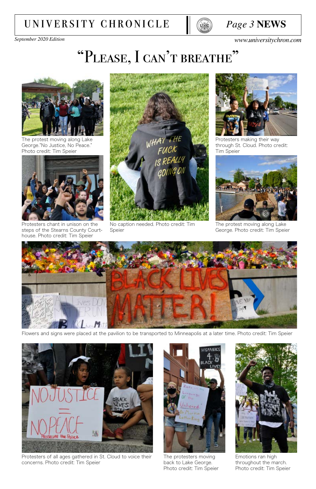### *Page 3* **NEWS**

*September 2020 Edition [www.universitychron.com](http://universitychron.com/)*

## "PLEASE, I CAN'T BREATHE"

## [university chronicle](http://universitychron.com/)





The protest moving along Lake George."No Justice, No Peace." Photo credit: Tim Speier



Protesters chant in unison on the steps of the Stearns County Courthouse. Photo credit: Tim Speier



No caption needed. Photo credit: Tim Speier



Protesters making their way through St. Cloud. Photo credit: Tim Speier



The protest moving along Lake George. Photo credit: Tim Speier



Flowers and signs were placed at the pavilion to be transported to Minneapolis at a later time. Photo credit: Tim Speier





Protesters of all ages gathered in St. Cloud to voice their concerns. Photo credit: Tim Speier

The protesters moving back to Lake George. Photo credit: Tim Speier

Emotions ran high throughout the march. Photo credit: Tim Speier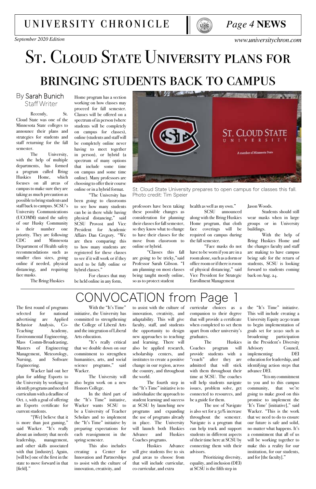## university chronicle



# ST. CLOUD STATE UNIVERSITY PLANS FOR bringing students back to campus

#### By Sarah Bunich Staff Writer

Recently, St. Cloud State was one of the Minnesota State colleges to announce their plans and strategies for students and staff returning for the fall semester.

The University, with the help of multiple departments, has formed a program called Bring Huskies Home, which focuses on all areas of campus to make sure they are taking as much precaution as possible to bring students and staff back to campus. SCSU's University Communications (UCOMM) stated the safety of our Husky Community is their number one priority. They are following CDC and Minnesota Department of Health safety recommendations such as smaller class sizes, going online if needed, physical distancing, and requiring face masks.

The Bring Huskies

Jason Woods.

Students should still wear masks when in large groups or in University buildings.

With the help of Bring Huskies Home and the changes faculty and staff are making to have campus being safe for the return of students, SCSU is looking forward to students coming back on Aug. 24.

## ONVOCATION from Page

health as well as my own."

SCSU announced along with the Bring Huskies Home program, that cloth face coverings will be required on campus during the fall semester.

"Face masks do not have to be worn if you are in a room alone, such as a dorm or office room or if there is room of physical distancing," said Vice President for Strategic Enrollment Management

professors have been taking these possible changes as consideration for planning their classes for fall semester, so they know what to change to have their classes for the move from classroom to online or hybrid.

"Classes this fall are going to be tricky,"said Professor Sarah Gibson. "I am planning on most classes being taught mostly online, so as to protect student

Home program has a section working on how classes may proceed for fall semester. Classes will be offered on a spectrum of in person (where students will be completely on campus for classes), online (students and staff will be completely online never having to meet together in person), or hybrid (a spectrum of many options that include some time on campus and some time online). Many professors are choosing to offer their course online or in a hybrid format.

"The University has been going to classrooms to see how many students can be in there while having physical distancing," said SCSU Provost and Vice President for Academic Affairs Dan Gregory. "We are then comparing this to how many students are registered for these classes to see if it will work or if they need to be fully online or hybrid classes."

For classes that may be held online in any form,



St. Cloud State University prepares to open campus for classes this fall. Photo credit: Tim Speier

With the "It's Time" initiative, the University has committed to strengthening the College of Liberal Arts and the integration of Liberal Arts education.

The first round of programs selected for national advertising are Applied Behavior Analysis, Co-Teaching Academy, Environmental Engineering, Mass Comm-Broadcasting, Masters of Engineering Management, Meteorology, Nursing, and Software Engineering. Wacker laid out her plan for adding Esports to the University by working to identify programs and needed curriculum with a deadline of Oct. 1, with a goal of offering an Esports certificate for current students. "[We] believe that it is more than just gaming," said Wacker. "It's really about an industry that needs leadership, management, and other skills associated with that [industry]. Again, [will be] one of the first in the state to move forward in that [field]."

the "It's Time" initiative. This will include creating a University Equity 2030 team to begin implementation of goals set for 2020 such as broadening participation in the President's Diversity Advisory Council, implementing DEI education for leadership, and identifying action steps that advance DEI. "It is my commitment to you and to this campus community, that we're going to make good on this promise to implement the 'It's Time' [initiative]," said Wacker. "This is the work that we need to do to ensure our future is safe and solid, no matter what happens. It's a commitment that all of us will be working together to make this a reality for our institution, for our students, and for [the faculty]."

curricular choices as a companion to their degree that will provide a certificate when completed to set them apart from other university's graduates.

The Huskies Coaches program will provide students with a "coach" after they are admitted that will stick with them throughout their time at SCSU. The coaches will help students navigate issues, problem solve, get connected to resources, and be a guide for them. The use of Navigate is also set for a 50% increase throughout the semester. Navigate is a program that can help track and support students in different aspects of their time here at SCSU by connecting them with their advisors.

 Prioritizing diversity, equality, and inclusion (DEI) at SCSU is the fifth step in

to assist with the culture of innovation, creativity, and adaptability. This will give faculty, staff, and students the opportunity to design new approaches to teaching and learning. There will also be applied research, scholarship centers, and

institutes to create a positive change in our region, across the country, and throughout the world.

The fourth step in the "It's Time" initiative is to individualize the approach to student learning and success at SCSU by launching new programs and expanding the use of programs already in place. The University will launch both Huskies Advance and Huskies Coaches programs.

Huskies Advance will give students five to six goal areas to choose from that will include curricular, co curricular, and extra

"It's really critical that we double down on our commitment to strengthen humanities, arts, and social science programs," said Wacker.

The University will also begin work on a new Honors College.

In the third part of the "It's Time" initiative, Wacker wants SCSU to be a University of Teacher Scholars and to implement the "It's Time" initiative by preparing expectations for each reassignment in the spring semester.

This also includes creating a Center for Innovation and Partnerships to assist with the culture of innovation, creativity, and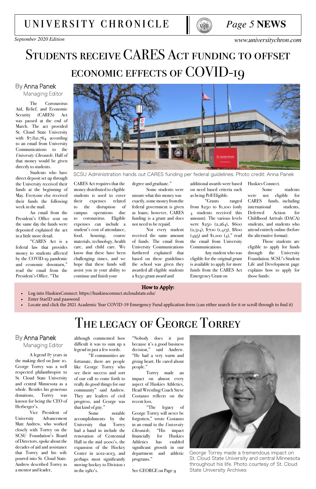*September 2020 Edition [www.universitychron.com](http://universitychron.com/)*

## STUDENTS RECEIVE CARES ACT FUNDING TO OFFSET ECONOMIC EFFECTS OF COVID-19



#### By Anna Panek Managing Editor

The Coronavirus Aid, Relief, and Economic Security (CARES) Act was passed at the end of March. The act provided St. Cloud State University with  $$7,821,764$  according to an email from University Communications to the *University Chronicle*. Half of that money would be given directly to students.

Students who have direct deposit set up through the University received their funds at the beginning of May. Everyone else received their funds the following week in the mail.

An email from the President's Office sent on the same day the funds were deposited explained the act in a little more detail.

"CARES Act is a federal law that provides money to students affected by the COVID-19 pandemic and economic downturn," read the email from the President's Office. "The

Some students were unsure what this money was exactly, some money from the federal government is given as loans; however, CARES funding is a grant and does not need to be repaid.

Not every student received the same amount of funds. The email from University Communications furthered explained that based on these guidelines the school was given they awarded all eligible students a \$250 grant award and

additional awards were based on need based criteria such as being Pell Eligible.

"Grants ranged from \$250 to \$1,100 (only 4 students received this amount). The various levels were \$250 (2,264), \$600 (2,514), \$700 (1,413), \$800  $(495)$  and \$1,100  $(4)$ ," read the email from University Communications.

Any student who was eligible for the original grant is available to apply for more funds from the CARES Act Emergency Grant on

CARES Act requires that the money distributed to eligible students is used to cover their expenses related to the disruption of campus operations due to coronavirus. Eligible expenses can include a student's cost of attendance, food, housing, course materials, technology, health care, and child care. We know that these have been challenging times, and we hope that these funds will assist you in your ability to continue and finish your

degree and graduate."

Huskies Connect.

Some students were not eligible for CARES funds, including international students, Deferred Action for Childhood Arrivals (DACA) students, and students who attend entirely online (before the alternative format).

Those students are eligible to apply for funds through the University Foundation. SCSU's Student Life and Development page explains how to apply for those funds:



SCSU Administration hands out CARES funding per federal guidelines. Photo credit: Anna Panek

#### How to Apply:

- Log into HuskiesConnect: https://huskiesconnect.stcloudstate.edu/
- Enter StarID and password
- Locate and click the 2021 Academic Year COVID-19 Emergency Fund application form (can either search for it or scroll through to find it)

## THE LEGACY OF GEORGE TORREY

A legend 87 years in the making died on June 10. George Torrey was a well respected philanthropist to St. Cloud State University and central Minnesota as a whole. Besides his generous donations, Torrey was known for being the CEO of Herberger's. Vice President of University Advancement Matt Andrew, who worked closely with Torrey on the SCSU Foundation's Board of Directors, spoke about the decades of aid and assistance that Torrey and his wife poured into St. Cloud State. Andrew described Torrey as a mentor and leader,

"Nobody does it just because it's a good business decision," said Andrew. "He had a very warm and



giving heart. He cared about people."

Torrey made an impact on almost every aspect of Huskies Athletics, Head Wrestling Coach Steve Costanzo reflects on the recent loss.

"The legacy of George Torrey will never be forgotten," wrote Costanzo in an email to the *University Chronicle*, "His impact financially for Huskies Athletics has enabled significant growth in our department and athletic programs."

See GEORGE on Page 9

although commented how difficult it was to sum up a legend in just a few words. "If communities are

fortunate, there are people like George Torrey who see their success and sort of our call to come forth to really do good things for our community" said Andrew. They are leaders of civil progress, and George was that kind of guy."

Some notable accomplishments by the University that Torrey had a hand in include the renovation of Centennial Hall in the mid 2000's, the expansion of the Hockey Center in 2012-2013, and perhaps most significantly moving hockey to Division 1 in the 1980's.

#### By Anna Panek Managing Editor

George Torrey made a tremendous impact on St. Cloud State University and central Minnesota throughout his life. Photo courtesy of St. Cloud State University Archives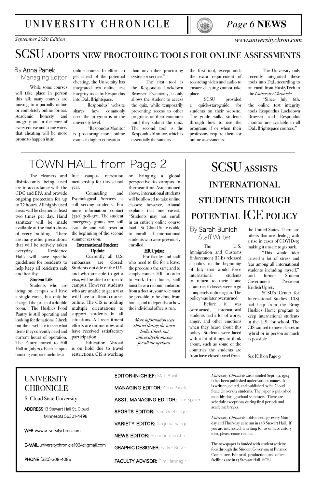### *Page 6* **NEWS**

*September 2020 Edition [www.universitychron.com](http://universitychron.com/)*

### [university chronicle](http://universitychron.com/)



## SCSU adopts new proctoring tools for online assessments

#### By Anna Panek Managing Editor

While some courses will take place in person this fall, many courses are moving to a partially online or completely online format. Academic honesty and integrity are in the core of every course and some worry that cheating will be more prone to happen in an

"Since July 6th, the online test integrity tools Respondus Lockdown Browser and Respondus monitor are available in all D<sub>2</sub>L Brightspace courses."

online course. In efforts to get ahead of the potential cheating, the University has integrated two online test integrity tools by Respondus into D2L Brightspace.

Respondus' website shares how commonly used the program is at the university level.

than any other proctoring system or service."

"Respondus Monitor is proctoring more online exams in higher education

The University only recently integrated these tools into D2L according to an email from HuskyTech to the *University Chronicle*.

the first tool, except adds the extra requirement of recording video and audio to ensure cheating cannot take place.

SCSU provided a quick-start-guide for students on their website. The guide walks students through how to use the programs if or when their professors require them for online assessments.

campus recreation membership for this school year.

The first tool is the Respondus Lockdown Browser. Essentially, it only allows the student to access the quiz, while temporarily preventing access to other programs on their computer until they submit the quiz. The second tool is the Respondus Monitor, which is essentially the same as

## TOWN HALL from Page 2

The cleaners and disinfectants being used are in accordance with the CDC and EPA and provide ongoing protection for up to 72 hours. All highly used areas will be cleaned at least two times per day. Hand sanitizer will be made available at the main doors of every building. There are many other precautions that will be actively taken everyday. Residence Halls will have specific guidelines for residents to help keep all residents safe and healthy.

#### Student Life

Students who are living on campus will have a single room, but only be charged the price of a double room. The Huskies Food Pantry is still operating and looking for donations. Check out their website to see what items they currently need and current hours of operation. The Pantry moved to Hill Hall on July 20. Each campus housing contract includes a

The U.S. Immigration and Customs Enforcement (ICE) released a policy in the beginning of July that would force international students to return to their home countries if classes were to go completely online again. The policy was later overturned.

Counseling and Psychological Services is still serving students. For more information contact (320) 308-3171. The student emergency grants are still available and will reset at the beginning of the second summer session.

#### International Student Update

Currently all U.S. embassies are closed. Students outside of the U.S. and who are able to get a visa, will be able to return to campus. However, students who are unable to get a visa will have to attend courses online. The CIS is holding multiple orientations to support students in all situations. All recruitment efforts are online now, and have received satisfactory participation.

Education Abroad is on hold due to travel restrictions. CIS is working

on bringing a global perspective to campus in the meantime. As mentioned above, international students will be allowed to take online classes; however, Ahmad explains that one caveat, "Students may not enroll in an entirely online course load." St. Cloud State is able to enroll all international students who were previously enrolled.

#### HR Update

For faculty and staff who need to file for a leave, the process is the same and to simply contact HR. In order to work from home, staff must have a recommendation from a doctor, your role must be possible to be done from home, and it depends on how the individual office is run.

> *More information was shared during the town halls. Check out universitychron.com for all the updates.*

## SCSU assists **INTERNATIONAL** students through potential ICE policy

#### By Sarah Bunich Staff Writer

the United States. There are others that are dealing with a rise in cases of COVID-19 making it unsafe to go back.

"This whole idea caused a lot of stress and fear among all international students including myself," said former Student Government President Kridish Uprety.

SCSU's Center for International Studies (CIS) had help from the Bring Huskies Home program to keep international students in the U.S. for school. The CIS wanted to have classes in hybrid or in person as much as possible.

See ICE on Page 9

Before it was overturned, international students had a lot of worry, anger, and other emotions when they heard about this policy. Students were faced with a lot of things to think about, such as some of the countries the students are from have closed travel from

UNIVERSITY CHRONICLE

St Cloud State University

ADDRESS 13 Stewart Hall St. Cloud, Minnesota 56301-4498

WEB www.universitychron.com

E-MAIL universitychronicle1924@gmail.com

PHONE (320)-308-4086

EDITOR-IN-CHIEF: Matt Auvil

MANAGING EDITOR: Anna Panek

ASST. MANAGING EDITOR: Tim Speier

**SPORTS EDITOR: Sam Goetzinger** 

VARIETY EDITOR: Sequoia Range

NEWS EDITOR: Brendan Janostin

GRAPHIC DESIGNER: Parker Buske

FACULTY ADVISOR: Tim Hennagir

*University Chronicle* was founded Sept. 19, 1924. It has been published under various names. It is written, edited, and published by St. Cloud State University students. The paper is published monthly during school semesters. There are schedule exceptions during final periods and academic breaks.

*University Chronicle* holds meetings every Monday and Thursday at 10 am in 13B Stewart Hall. If you are interested in writing for us or have a story idea, please come visit us.

The newspaper is funded with student activity fees through the Student Government Finance Committee. Editorial, production, and office facilities are in 13 Stewart Hall, SCSU.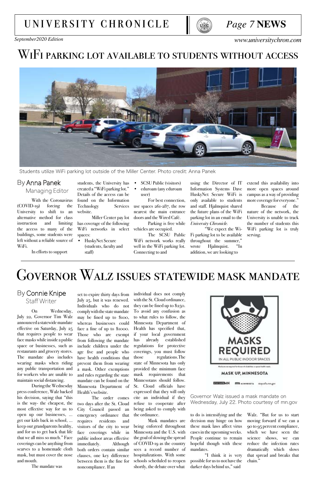### *Page 7* **NEWS**

*September2020 Edition [www.universitychron.com](http://universitychron.com/)*

## [university chronicle](http://universitychron.com/)



## WiFi parking lot available to students without access



### By Anna Panek Managing Editor

With the Coronavirus (COVID-19) forcing the University to shift to an alternative method for class instruction and limiting the access to many of the buildings, some students were left without a reliable source of WiFi.

In efforts to support

extend this availability into more open spaces around campus as a way of providing more coverage for everyone."

Because of the nature of the network, the University is unable to track the number of students this WiFi parking lot is truly serving.

WiFi networks in select vehicles are occupied. Miller Center pay lot has coverage of the following spaces:

using the Director of IT Information Systems Dave HuskyNet Secure WiFi is only available to students and staff. Hjalmquist shared the future plans of the WiFi parking lot in an email to the *University Chronicle.*

"We expect the Wi-Fi parking lot to be available throughout the summer," wrote Hjalmquist. "In addition, we are looking to

- SCSU Public (visitors)
- eduroam (any eduroam user)

For best connection, use spaces 261-287, the row nearest the main entrance doors and the Wired Café.

Parking is free while

The SCSU Public WiFi network works really well in the WiFi parking lot. Connecting to and

students, the University has created a "WiFi parking lot." Details of the access can be found on the Information Technology Services website.

• HuskyNet Secure (students, faculty and staff)

Students utilize WiFi parking lot outside of the Miller Center. Photo credit: Anna Panek

## Governor Walz issues statewide mask mandate

### By Connie Knipe Staff Writer

On Wednesday, July 22, Governor Tim Walz announced a statewide mandate effective on Saturday, July 25 that requires people to wear face masks while inside a public space or businesses, such as restaurants and grocery stores. The mandate also includes

wearing masks when riding any public transportation and for workers who are unable to maintain social distancing.

During the Wednesday press conference, Walz backed his decision, saying that "this is the way- the cheapest, the most effective way for us to open up our businesses, … get our kids back in school, … keep our grandparents healthy, and for us to get back that life that we all miss so much." Face coverings can be anything from scarves to a homemade cloth mask, but must cover the nose and mouth.

The mandate was

Walz. "But for us to start moving forward if we can a 90 to 95 percent compliance, which we have seen the science shows, we can reduce the infection rates dramatically which slows that spread and breaks that chain."

to do is intensifying and the decision may hinge on how these mask laws affect virus cases in the upcoming weeks. People continue to remain hopeful though with these mandates.

"I think it is very possible for us to not have the darker days behind us," said

individual does not comply with the St. Cloud ordinance, they can be fined up to \$250. To avoid any confusion as to what rules to follow, the Minnesota Department of Health has specified that, if your local government has already established regulations for protective coverings, you must follow those regulations.The



state of Minnesota has only provided the minimum face mask requirements that Minnesotans should follow. St. Cloud officials have expressed that they will only cite an individual if they refuse to cooperate after being asked to comply with the ordinance. Mask mandates are

being enforced throughout Minnesota and the U.S. with the goal of slowing the spread of COVID-19 as the country sees a record number of hospitalizations. With some schools scheduled to reopen shortly, the debate over what



#### **MASK UP, MINNESOTA**

**ESTATIONN MT** MINNESOTA staysafe.mn.gov

set to expire thirty days from July 25, but it was renewed. Individuals who do not comply with the state mandate may be fined up to \$100, whereas businesses could face a fine of up to \$1000. Those who are exempt from following the mandate include children under the age five and people who have health conditions that prevent them from wearing a mask. Other exemptions and rules regarding the state mandate can be found on the Minnesota Department of Health's website. The order comes two days after the St. Cloud City Council passed an emergency ordinance that requires residents and visitors of the city to wear face coverings while in public indoor areas effective immediately. Although both orders contain similar clauses, one key difference between them is the fine for noncompliance. If an

Governor Walz issued a mask mandate on Wednesday, July 22. Photo courtesy of mn.gov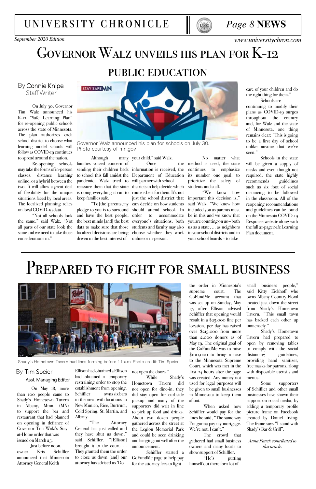### *Page 8* **NEWS**

*September 2020 Edition [www.universitychron.com](http://universitychron.com/)*

## [university chronicle](http://universitychron.com/)





## Governor Walz unveils his plan for K-12 public education

On July 30, Governor Tim Walz announced his K-12 "Safe Learning Plan" for re-opening public schools across the state of Minnesota. The plan authorizes each school district to choose what learning model schools will follow as COVID-19 continues to spread around the nation.

Re-opening schools may take the forms of in-person classes, distance learning online, or a hybrid between the two. It will allow a great deal of flexibility for the unique situations faced by local areas. The localized planning relies on local COVID-19 data.

"Not all schools look the same," said Walz. "Not all parts of our state look the same and we need to take those considerations in."

## By Connie Knipe



Although families voiced concern of pandemic, Walz tried to will partner with school keep families safe.

the right thing for them." Schools are

pledge to you is to surround should attend school. In and have the best people, the best minds [and] the best everyone's situations, both data to make sure that those students and faculty may also localized decisions are being choose whether they work driven in the best interest of

many your child," said Walz.

continuing to modify their plans as COVID-19 surges throughout the country and, for Walz and the state of Minnesota, one thing remains clear: "This is going to be a first day of school unlike anyone that we've seen."

Schools in the state will be given a supply of masks and even though not required, the state highly recommends guidelines such as six foot of social distancing to be followed in the classroom. All of the reopening recommendations and guidelines can be found on the Minnesota COVID-19 Response website along with the full 21-page Safe Learning Plan document.

## PREPARED TO FIGHT FOR SMALL BUSINESS



sending their children back information is received, the to school this fall amidst the Department of Education reassure them that the state districts to help decide which is doing everything it can to route is best for them. It's not "To [the] parents, my can decide on how students Once just the school district that to accommodate online or in-person.

No matter what method is used, the state continues to emphasize its number one goal: to prioritize the safety of students and staff.

> "We know how important this decision is," said Walz. "We know how included you as parents must be in this and we know that you are counting on us – both us as a state, … as neighbors in your school districts and in your school boards – to take

Governor Walz announced his plan for schools on July 30. Photo courtesy of mn.gov

Shady's Hometown Tavern had lines forming before 11 a.m. Photo credit: Tim Speier

#### By Tim Speier Asst. Managing Editor

On May 18, more than 100 people came to Shady's Hometown Tavern in Albany, Minn. (MN) to support the bar and restaurant that had planned on opening in defiance of Governor Tim Walz's Stayat-Home order that was issued on March 25.

 Just before noon, owner Kris Schiffler announced that Minnesota Attorney General Keith

Ellison had obtained a Ellison had obtained a temporary restraining order to stop the establishment from opening. Schiffler owns six bars in the area, with locations in New Munich, Rice, Burtrum, Cold Spring, St. Martin, and Albany.

"The Attorney General has just called and they have shut us down," said Schiffler. "[Ellison] brought it to the court. … They granted them the order to close us down [and] our attorney has advised us 'Do

not open the doors."

While Shady's Hometown Tavern did not open for dine-in, they did stay open for curbside pickup and many of the supporters did wait in line to pick up food and drinks. About two dozen people gathered across the street at the Legion Memorial Park and could be seen drinking and hanging out well after the announcement.

Schiffler started a GoFundMe page to help pay for the attorney fees to fight

small business people," said Kitty Eickhoff who owns Albany Country Floral located just down the street from Shady's Hometown Tavern. "This small town has backed each other up immensely."

Shady's Hometown Tavern had prepared to open by removing tables to comply with the social distancing guidelines, providing hand sanitizer, free masks for patrons, along with disposable utensils and menus. Some supporters of Schiffler and other small businesses have shown their support on social media, by adding a temporary profile picture frame on Facebook created by Daniel Irving. The frame says "I stand with Shady's Bar & Grill".

*Anna Panek contributed to this article.*

the order in Minnesota's supreme court. The GoFundMe account that was set up on Sunday, May 17, after Ellison advised Schiffler that opening would result in a \$25,000 fine per location, per day has raised over \$215,000 from more than 2,000 donors as of May 19. The original goal of the GoFundMe was to raise \$100,000 to bring a case to the Minnesota Supreme Court, which was met in the first 24 hours after the page was created. Any money not used for legal purposes will be given to small businesses in Minnesota to keep them afloat. When asked how Schiffler would pay for the fines he said, "The same way I'm gonna pay my mortgage. We're not. I can't."

The crowd that gathered had small business owners and many locals to show support of Schiffler.

"He's putting himself out there for a lot of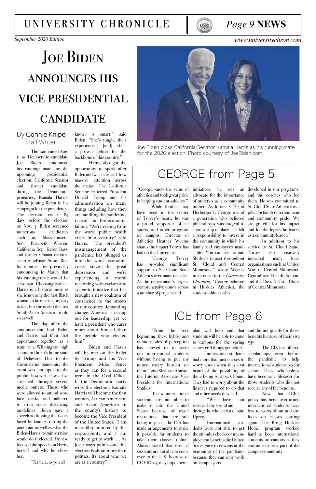### *Page 9* **NEWS**

## JOE BIDEN announces his vice presidential **CANDIDATE**

*September 2020 Edition [www.universitychron.com](http://universitychron.com/)*

## [university chronicle](http://universitychron.com/)



#### By Connie Knipe Staff Writer

The wait ended Aug. 11 as Democratic candidate Joe Biden announced his running mate for the upcoming presidential election. California Senator and former candidate during the Democratic primaries, Kamala Harris, will be joining Biden in his campaign for the presidency. The decision comes 84 days before the election on Nov. 3. Biden screened numerous candidates such as Massachusetts Sen. Elizabeth Warren, California Rep. Karen Bass, and former Obama national security advisor Susan Rice for months after previously announcing in March that his running-mate would be a woman. Choosing Kamala Harris is a historic move as she is not only the first Black woman to be on a major party ticket, but she is also the first South-Asian American to do so as well.

In addition to his also positively

The day after the announcement, both Biden and Harris had their first appearance together as a team at a Wilmington high school in Biden's home state of Delaware. Due to the Coronavirus pandemic, the event was not open to the public, however, it was live streamed through several media outlets. Those who were allowed to attend wore face masks and adhered to strict social distancing guidelines. Biden gave a speech addressing the issues faced by families during the pandemic as well as what the Biden-Harris administration would do if elected. He also focused the speech on Harris herself and why he chose her.

advocate for the importance and the coaches who led of athletics as a community them. He was committed to unifier. As former CEO of St. Cloud State Athletics as a Herberger's, George was of pillar for family entertainment a generation who believed and community pride. We philanthropy was integral to are grateful for his impact stewardship of place – he felt and for the legacy he leaves a responsibility to invest in as a community leader." family and employees made service to St. Cloud State, Shirley's impact throughout impacted many local has provided significant St. Cloud and Central organizations such as United Minnesota." wrote Weems Way of Central Minnesota, in an email to the *University* CentraCare Health System, *Chronicle*, "George believed and the Boys & Girls Clubs in Huskies Athletics, the of Central Minnesota. the community in which his a life. You can see he and student-athletes who

"Kamala, as you all

"George knew the value of initiatives, he was an developed in our programs, athletics and took great pride in helping student-athletes."

know, is smart," said Biden. "She's tough, she's experienced, [and] she's a proven fighter for the backbone of this country."

> "We have received any sort of aid Uprety.

Harris also got the opportunity to speak after Biden and what she said drew massive attention across the nation. The California Senator criticized President Donald Trump and his administration on many things including how they are handling the pandemic, racism, and the economic fallout. "We're reeling from the worst public health crisis in a century," said Harris. "The president's mismanagement of the pandemic has plunged us into the worst economic crisis since the great depression and we're experiencing a moral reckoning with racism and systemic injustice that has brought a new coalition of conscience to the streets of our country demanding change. America is crying out for leadership, yet we have a president who cares more about himself than the people who elected him."

Biden and Harris will be met on the ballet by Trump and his Vice President Mike Pence as they run for a second term in the Oval Office. If the Democratic party wins the election, Kamala Harris will become the first women, African American, and Asian American in the county's history to become the Vice President of the United States. "I am incredibly honored by this responsibility and I am ready to get to work. … As Joe always points out, this election is about more than politics. It's about who we are as a country."

## GEORGE from Page 5

While football may have been in the center of Torrey's heart, he was a proud supporter of all sports, and other programs on campus. Director of Athletics Heather Weems shares the impact Torrey has had on the University.

"George Torrey support to St. Cloud State Athletics over many decades. As the department's largest comprehensive donor across a number of projects and

## ICE from Page 6

has allowed us to serve semester if things get better. them," said Shahzad Ahmad, the Interim Associate Vice President for International Studies. If new international students are not able to make it into the United States because of travel restrictions that are still being in place, the CIS has made arrangements to make it possible for students to take their classes online. Ahmad stated that even if students are not able to come over to the U.S. because of COVID-19, they hope their

our international students International students scholarships even before without having to put any had more than just classes to the pandemic to help unnec essary burden on worry about when they first international students pay for heard of the possibility of school. These scholarships them being sent back home. have become a lifesaver for They had to worry about the those students who did not finances required to do that receive any of the benefits. and other needs they had.

"From the very plan will help and that and did not qualify for those beginning, these hybrid and students will be able to come benefits because of their visa online modes of perception to campus for the spring type.

> International students were not able to get Home program worked the stimulus checks or unem-hard to keep international ployment benefits the United students on campus as they States gave to citizens at the continue to be a part of the beginning of the pandemic campus community. because they can only work on-campus jobs

> during the whole crisis," said less to worry about and can The CIS has offered Now that ICE's policy has been overturned international students have focus on classes starting again. The Bring Huskies



Joe Biden picks California Senator Kamala Harris as his running mate for the 2020 election. Photo courtesy of JoeBiden.com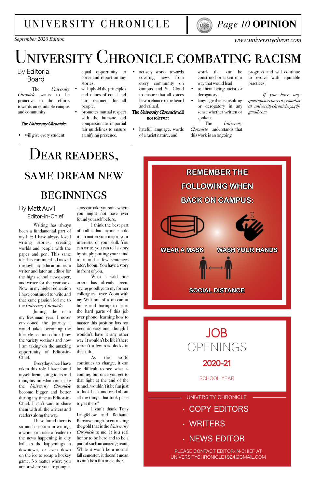## *Page 10* **OPINION**

*September 2020 Edition www.universitychron.com*

## university chronicle



## University Chronicle combating racism

### By Editorial Board

The *University Chronicle* wants to be proactive in the efforts towards an equitable campus and community.

#### The *University Chronicle*:

words that can be construed or taken in a way that would lead

- to them being racist or derogatory.
- language that is insulting or derogatory in any sense whether written or spoken.
- will give every student
- equal opportunity to cover and report on any stories.
	- will uphold the principles and values of equal and fair treatment for all people.
- promotes mutual respect with the humane and compassionate impartial fair guidelines to ensure a unifying presence.
- actively works towards covering news from every community on campus and St. Cloud to ensure that all voices have a chance to be heard and valued.

progress and will continue to evolve with equitable practices.

hateful language, words of a racist nature, and

*If you have any questions or concerns, email us at universitychronicle1924@ gmail.com*

The *University Chronicle* understands that this work is an ongoing

The *University Chronicle* will not tolerate:

## Dear readers,

## same dream new

## **BEGINNINGS**

#### By Matt Auvil Editor-in-Chief

Writing has always been a fundamental part of my life; I have always loved writing stories, creating worlds and people with the paper and pen. This same idea has continued as I moved through my education, as a writer and later an editor for the high school newspaper, and writer for the yearbook. Now, in my higher education I have continued to write and that same passion led me to the *University Chronicle.*

Joining the team my freshman year, I never envisioned the journey I would take, becoming the lifestyle section editor (now the variety section) and now I am taking on the amazing opportunity of Editor-in-Chief.

## JOB PENINGS

Everyday since I have taken this role I have found myself formulating ideas and thoughts on what can make the *University Chronicle* become bigger and better during my time as Editor-in-Chief. I can't wait to share them with all the writers and readers along the way.

I have found there is so much passion in writing, a writer can take a reader to the news happening in city hall, to the happenings in downtown, or even down on the ice to recap a hockey game. No matter where you are or where you are going, a

story can take you somewhere you might not have ever found yourself before.

I think the best part of it all is that anyone can do it, no matter your major, your interests, or your skill. You can write, you can tell a story by simply putting your mind to it and a few sentences later, boom. You have a story in front of you.

What a wild ride 2020 has already been, saying goodbye to my former colleagues over Zoom with my Wifi out of a tin-can at home and having to learn the hard parts of this job over phone, learning how to master this position has not been an easy one, though I wouldn't have it any other way. It wouldn't be life if there weren't a few roadblocks in the path.

As the world

continues to change, it can be difficult to see what is coming, but once you get to that light at the end of the tunnel, wouldn't it be fun just to look back and read about all the things that took place to get there?

I can't thank Tony Langfellow and Bethanie Barrios enough for entrusting the gold that is the *University Chronicle* to me. It is a real honor to be here and to be a part of such an amazing team. While it won't be a normal fall semester, it doesn't mean it can't be a fun one either.



#### 2020-21

#### SCHOOL YEAR

• COPY EDITORS

• WRITERS

### • NEWS EDITOR

UNIVERSITY CHRONICLE

PLEASE CONTACT EDITOR-IN-CHIEF AT UNIVERSITYCHRONICLE1924@GMAIL.COM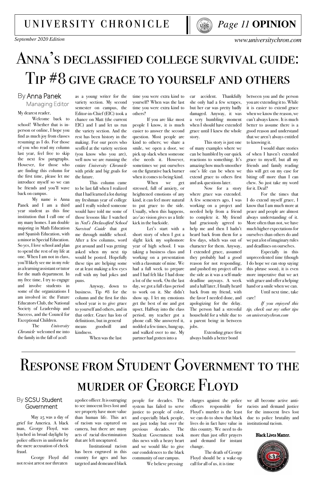## *Page 11* **OPINION**

*September 2020 Edition www.universitychron.com*

## university chronicle



## Anna's declassified college survival guide: Tip #8 give grace to yourself and others

#### By Anna Panek Managing Editor

My dearest reader,

Welcome back to school! Whether that is inperson or online, I hope you find as much joy from classes resuming as I do. For those of you who read my column last year, feel free to skip the next few paragraphs. However, for those who are finding this column for the first time, please let me introduce myself so we can be friends and you'll wave back on campus.

My name is Anna Panek and I am a third year student as this fine institution that I call one of my many homes. I am double majoring in Math Education and Spanish Education, with a minor in Special Education. So yes, I love school and plan to spend the rest of my life at one. When I am not in class, you'll likely see me in my role as a learning assistant or tutor for the math department. In my free time, I try to engage and involve students in some of the organizations I am involved in: the Future Educators Club, the National Society of Leadership and Success, and the Council for Exceptional Children.

The *University Chronicle* welcomed me into the family in the fall of 2018

between you and the person you are extending it to. While it is easier to extend grace when we know the reason, we can't always know. It is much better to assume there is a good reason and understand that we aren't always entitled to knowing it.

I would share stories of when I haven't extended grace to myself, but all my friends and family reading this will get on my case for biting off more than I can chew. So just take my word for it. Deal?

For the times that I do extend myself grace, I know that I am much more at peace and people are almost always understanding of it. More often than not, we have much higher expectations for ourselves than others do and we put a lot of imaginary rules and deadlines on ourselves.

Especially in this unprecedented time (though I do hope we can stop saying this phrase soon), it is even more imperative that we act with grace and offer a helping hand or a smile when we can.

Until next time, take care!

*If you enjoyed this tip, check out my other tips on universitychron.com*

car accident. Thankfully she only had a few scrapes, but her car was pretty badly damaged. Anyway, it was a very humbling moment when I should have extended grace until I knew the whole story.

This story is just one of many examples where we can be humbled by our quick reactions to something. It's amazing how much smoother one's life can be when we extend grace to others first and ask questions later.

Now for a story where grace was extended. A few semesters ago, I was working on a project and needed help from a friend to complete it. My friend had graciously agreed to help me and then I hadn't heard back from them for a few days, which was out of character for them. Anyway, I extended grace, assumed they probably had a good reason for not responding, and pushed my project off to the side as it was a self-made deadline anyways. A week and a half later, I finally heard back from my friend, with the favor I needed done, and apologizing for the delay. The person had a stressful household for a while due to a parent being in between jobs.

Extending grace first always builds a better bond

time you were extra kind to yourself? When was the last time you were extra kind to others?

If you are like most people I know, it is much easier to answer the second question. Most people are kind to others; we share a smile, we open a door, we pick up slack when someone else needs it. However, sometimes we put ourselves on the figurative back burner when it comes to being kind.

When we get stressed, full of anxiety, or heightened emotions of any kind, it can feel more natural to put grace to the side. Usually, when this happens, 20/20 vision gives us a little kick in the backside.

Let's start with a short story of when I got a slight kick my sophomore year of high school. I was taking a business class and working on a presentation with a classmate of mine. We had a full week to prepare and I had felt like I had done a lot of the work. On the last day, we got a full class period to work on it. She didn't show up. I let my emotions get the best of me and got upset. Halfway into the class period, my teacher got a phone call. She answered it, nodded a few times, hung up, and walked over to me. My partner had gotten into a

as a young writer for the variety section. My second semester on campus, the Editor-in-Chief (EIC) took a chance on Matt (the current EIC) and I and let us run the variety section. And the rest has been history in the making. For our peers who scoffed at the variety section (you know who you are), well now we are running the entire *University Chronicle*  with pride and big goals for the future.

This column came to be last fall when I realized that I had learned a lot during my freshman year of college and I really wished someone would have told me some of those lessons like I watched in *Ned's Declassified School Survival Guide* that got me through middle school. After a few columns, word got around and I was getting asked when my next tip would be posted. Hopefully these tips are helping some or at least making a few eyes roll with my bad jokes and puns.

Anyway, down to business. Tip #8 for the column and the first for this school year is to give grace to yourself and others, and in that order. Grace has lots of definitions, but in general means goodwill and kindness.

When was the last

## Response from Student Government to the murder of George Floyd

#### By SCSU Student Government

May 25 was a day of grief for America. A black man, George Floyd, was lynched in broad daylight by police officers in uniform for the mere accusation of check fraud.

George Floyd did not resist arrest nor threaten

we all become active antiracists and demand justice for the innocent lives lost due to police brutality and institutional racism.

#### Black Lives Matter.



charges against the police officers responsible for Floyd's murder is the least we can do to show that black lives do in fact have value in this country. We need to do more than just offer prayers and demand for instant change.

The death of George Floyd should be a wake-up call for all of us, it is time

people for decades. The system has failed to serve justice to people of color, and especially black people, not just today but over the previous decades. The Student Government took this news with a heavy heart and we would like to give our condolences to the black community of our campus. We believe pressing

a police officer. It is outraging to see innocent lives lost and see property have more value than human life. This act of racism was captured on camera, but there are many acts of racial discrimination that are left uncaptured.

Institutional racism has been engraved in this country for ages and has targeted and demeaned black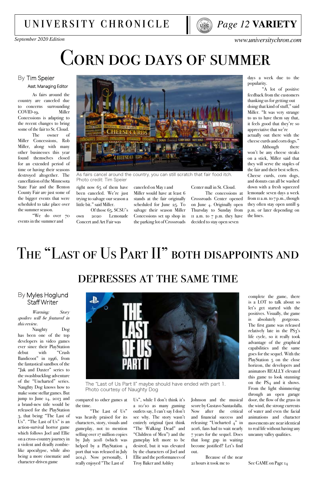

*September 2020 Edition www.universitychron.com*

## CORN DOG DAYS OF SUMMER

## university chronicle



#### By Tim Speier Asst. Managing Editor

As fairs around the country are canceled due to concerns surrounding COVID-19, Miller Concessions is adapting to the recent changes to bring some of the fair to St. Cloud.

The owner of Miller Concessions, Rob Miller, along with many other businesses this year found themselves closed for an extended period of time or having their seasons destroyed altogether. The cancellation of the Minnesota State Fair and the Benton County Fair are just some of the bigger events that were scheduled to take place over the summer season.

"We do over 70 events in the summer and

right now 65 of them have been canceled. We're just trying to salvage our season a little bit." said Miller.

Of those 65, SCSU's own 2020 Lemonade Concert and Art Fair was



As fairs cancel around the country, you can still scratch that fair food itch. Photo credit: Tim Speier

## depresses at the same time

#### By Myles Hoglund Staff Writer

*Warning: Story spoilers will be featured in this review.*

Naughty Dog has been one of the top developers in video games ever since their PlayStation debut with "Crash Bandicoot" in 1996, from the fantastical sandbox of the "Jak and Daxter" series to the swashbuckling adventure of the "Uncharted" series. Naughty Dog knows how to make some stellar games. But jump to June 14, 2013 and a brand-new title would be released for the PlayStation 3, that being "The Last of Us". "The Last of Us" is an action-survival horror game which follows Joel and Ellie on a cross-country journey in a violent and deadly zombielike apocalypse, while also being a more cinematic and character-driven game



complete the game, there is a LOT to talk about so let's get started with the positives. Visually, the game is absolutely gorgeous. The first game was released relatively late in the PS3's life cycle, so it really took advantage of the graphical capabilities and the same goes for the sequel. With the PlayStation 5 on the close horizon, the developers and animators REALLY elevated this game to look stunning on the PS<sub>4</sub> and it shows. From the light shimmering through an open garage door, the flow of the grass in the wind, the strong currents of water and even the facial animations and character movements are near identical to real life without having any uncanny valley qualities.

See GAME on Page 14

compared to other games at the time.

"The Last of Us" was heavily praised for its characters, story, visuals and gameplay, not to mention selling over 17 million copies by July 2018 (which was helped by a PlayStation 4 port that was released in July 2014). Now personally, I really enjoyed "The Last of

Us", while I don't think it's a 10/10 as many gaming outlets say, I can't say I don't see why. The story wasn't entirely original (just think "The Walking Dead" and "Children of Men") and the gameplay left more to be desired, but it was elevated by the characters of Joel and Ellie and the performances of Troy Baker and Ashley

Johnson and the musical score by Gustavo Santaolalla. Now after the critical and financial success and releasing "Uncharted  $4$ " in 2016, fans had to wait nearly 7 years for the sequel. Does that long gap in waiting become justified? Let's find out.

Because of the near 21 hours it took me to

The "Last of Us Part II" maybe should have ended with part 1. Photo courtesy of Naughty Dog

canceled on May 1 and Miller would have at least 6 stands at the fair originally scheduled for June 25. To salvage their season Miller Concessions set up shop in the parking lot of Crossroads

days a week due to the popularity.

"A lot of positive feedback from the customers thanking us for getting out doing that kind of stuff," said Miller. "It was very strange to us to have them say that, it feels good that they're so appreciative that we're actually out there with the cheese curds and corn dogs."

Although there won't be any cheese steaks on a stick, Miller said that they will serve the staples of the fair and their best sellers. Cheese curds, corn dogs, and donuts can all be washed down with a fresh squeezed lemonade seven days a week from 11 a.m. to 7 p.m., though they often stay open untill 9 p.m. or later depending on the lines.

## THE "LAST OF US PART II" BOTH DISAPPOINTS AND

Center mall in St. Cloud.

The concessions at Crossroads Center opened on June 4. Originally open Thursday to Sunday from 11 a.m. to 7 p.m. they have decided to stay open seven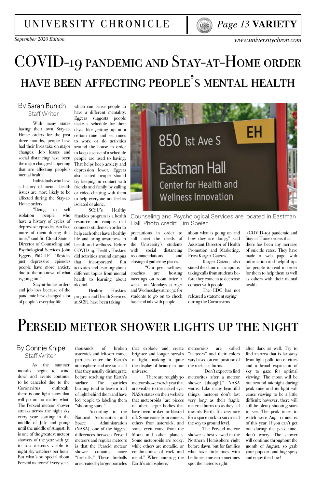*September 2020 Edition www.universitychron.com*



## COVID-19 pandemic and Stay-at-Home order have been affecting people's mental health

### By Sarah Bunich Staff Writer

With many states having their own Stay-at-Home orders for the past three months, people have had their lives take on major changes. Job losses and social distancing have been the major changes happening that are affecting people's mental health.

a history of mental health issues are more likely to be affected during the Stay-at-Home orders.

"Being in self isolation people who have a history of cycles of depressive episodes can face more of them during this time," said St. Cloud State's Director of Counseling and Psychological Services John Eggers, PhD LP. "Besides just depressive episodes people have more anxiety due to the unknown of what is going on."

Stay-at-home orders alcohol. and job loss because of the pandemic have changed a lot of people's everyday life

Individuals who have try keeping in contact with which can cause people to have a different mentality. Eggers suggests people make a schedule for their days, like getting up at a certain time and set times to work or do activities around the house in order to keep a sense of a schedule people are used to having. That helps keep anxiety and depression lower. Eggers also stated people should friends and family by calling or video chatting with them to help everyone not feel as isolated or alone.

SCSU's Healthy Huskies program is a health resource on campus that connects students in order to help each other have a healthy life and bring awareness to health and wellness. Before COVID-19, Healthy Huskies did activities around campus that incorporated fun activities and learning about different topics from mental health to learning about

Healthy Huskies program and Health Services at SCSU have been taking



Counseling and Psychological Services are located in Eastman Hall. Photo credit: Tim Speier

precautions in order to still meet the needs of the University's students with social distancing recommendations and closing of gathering places.

 "Our peer wellness coaches are hosting meetings on zoom twice a week on Mondays at 2:30 and Wednesdays at 10: 30 for students to go on to check base and talk with people

of light, making it quite vary based on composition of the rock as it burns. the display of beauty in our universe.

about what is going on and how they are doing," said Assistant Director of Health Promotion and Marketing, Erica Karger-Gatzow.

Karger-Gatzoq also stated the clinic on campus is taking calls from students before they come in to decrease contact with people.

thousands of particles enter the Earth's

The CDC has not released a statement saying during the Coronavirus

 (COVID-19) pandemic and Stay-at-Home orders that

there has been any increase of suicide rates. They have made a web page with information and helpful tips for people to read in order for them to help them as well as others with their mental health.

## PERSEID METEOR SHOWER LIGHTS UP THE NIGHT

### By Connie Knipe Staff Writer

As the summer months begin to wind down and events continue to be canceled due to the Coronavirus outbreak, there is one light show that will go on no matter what. The Perseid meteor shower streaks across the night sky every year starting in the middle of July and going until the middle of August. It is one of the greatest meteor showers of the year with 50 to 100 meteors visible to night sky watchers per hour. But what's so special about Perseid meteors? Every year,

after dark as well. Try to find an area that is far away from light pollution of cities and a broad expansion of sky to gaze for optimal viewing. The moon will be out around midnight during peak time and its light will cause viewing to be a little difficult; however, there will still be plenty shooting stars to see. The peak times to watch were Aug. II and 12 of this year. If you can't get out during the peak time, don't worry. The shower will continue throughout the month of August, so grab your popcorn and bug spray and enjoy the show!

The Perseid meteor shower is best viewed in the Northern Hemisphere right before dawn, but for families who have little ones with bedtimes, one can sometimes spot the meteors right

"Don't expect to find meteorites after a meteor shower [though]," NASA warns. Like many beautiful things, meteors don't last very long as their fragile material burns up as they fall towards Earth. It's very rare for a space rock to survive all the way to ground level. There are roughly 30 meteor showers each year that are visible to the naked eye. NASA states on their website that meteoroids "are pieces of other, larger bodies that have been broken or blasted off. Some come from comets, others from asteroids, and

some even come from the Moon and other planets. Some meteoroids are rocky, while others are metallic, or combinations of rock and metal." When entering the

Earth's atmosphere,

that explode and create meteoroids are called asteroids and leftover comet brighter and longer streaks "meteors" and their colors

atmosphere and are so small that they usually disintegrate before reaching the Earth's surface. The particles burning tend to leave a trail of light behind them and have led people to labeling them "shooting stars."

According to the National Aeronautics and Space Administration (NASA), one of the biggest differences between Perseid meteors and regular meteors is that the Perseid meteor shower contains more "fireballs." These fireballs are created by larger particles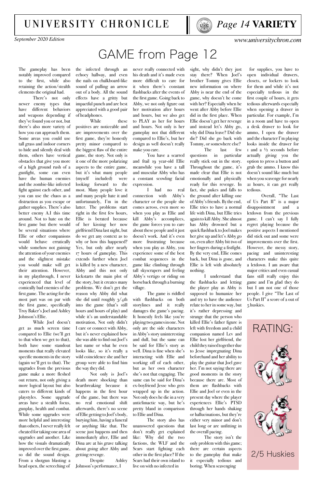The gameplay has been notably improved compared to the first, while also retaining the action/stealth elements the original had.

There's not only newer enemy types that have different behaviors and weapons depending if they've found you or not, but there's also more variety of how you can approach them. Some areas you could use tall grass and indoor corners to hide and silently deal with them, others have vertical obstacles that give you more of a high ground rush of a gunfight, some can even have the human enemies and the zombie-like infected fight against each other, and you can use the chaos as a distraction as you escape or gather supplies. There's also better enemy A.I this time around. Not to hate on the first game but there would be several situations where Ellie or other companions would behave erratically while somehow not gaining the attention of your enemies and the slightest mistake you would make will get their attention. However, in my playthrough, I never experienced that level of comically bad enemies of the first game. The acting for the most part was on par with the first game, specifically Troy Baker's Joel and Ashley Johnson's Ellie.

the infected through an echoey hallway, and even the nails on chalkboard-like sound of pulling an arrow out of a body. All the sound effects have a gritty but impactful punch and are best appreciated with a good pair of headphones. While these

While Joel doesn't get as much screen time compared to Ellie (we'll get to that when we get to that), both have some standout moments that really elevated specific moments in the story (again we'll get to that). The upgrades from the previous game make a more fleshed out return, not only giving a more logical layout but also caters to different kinds of playstyles. Some upgrade areas have a stealth focus, gunplay, health and combat. While some upgrades were more helpful and interesting than others, I never really felt cheated for taking one area of upgrades and another. Like how the visuals dramatically improved over the first game, so did the sound design. From a shotgun blasting a head open, the screeching of

positives are noticeable and are improvements over the first game, they're honestly pretty minor compared to the biggest flaw of the entire game, the story. Not only is it one of the more polarizing aspects to the entire game, but it's what many people (myself included) were looking forward to the most. Many people love it and many people hate it and unfortunately, I'm in the latter. The problems start right in the first few hours, Ellie is berated because of her kissing her now girlfriend Dina last night, but do we get any context as to why or how this happened? Yes, but only after nearly 17 hours of gameplay. This extends further when Joel is killed by a new character, Abby and this not only kickstarts the main plot of the story, but it creates many problems. We don't get the reason why Abby did what she did until roughly 3/4th into the game (that's still hours and hours of play) and while it's an understandable motivation, Not only didn't I care or connect with Abby, but it's never explained how she was able to find out Joel's last name or what he even looks like, so it's really a wild coincidence she and her

group were able to find him the way they did.

Not only is Joel's death more shocking than heartbreaking because it happens in the first hour of the game, but there was no real emotional shift afterwards, there's no scene of Ellie getting to Joel's body, burying him, having a funeral or anything like that. The scene just happens and then immediately after, Ellie and Dina are at his grave talking about going after Abby and getting revenge.

Despite Ashley Johnson's performance, I

never really connected with his death and it's made even more difficult to care for it when there's constant flashbacks after the events of the first game. Going back to Abby, we not only figure out her motivation after hours and hours, but we also get to PLAY as her for hours and hours. Not only is her gameplay not that different compared to Ellie's, but her design as well doesn't really make you care.

You have a scarred and frail 19 year-old Ellie meanwhile you have a tall and muscular Abby who has a constant scowling facial expression.

I had no real connection with Abby's character or the people she comes across, even more so when you play as Ellie and kill Abby's accomplices, the game forces you to care about these people and it just doesn't work. And it's even more frustrating because when you play as Abby, you experience some of the best combat sequences in the game like climbing through tall skyscrapers and feeling Abby's vertigo or riding on horseback through a burning village.

The game is riddled with flashbacks on both storylines and it really damages the game's pacing. It honestly feels like you're playing two games in one. Not only are the side characters in Abby's story uninteresting and dull, but the same can be said for Ellie's story as well. Dina is fine when she's interacting with Ellie and working off of each other, but as her own character she's not that engaging. The same can be said for Dina's ex-boyfriend Jesse who gets wrapped up in the action. Not only does he die in a very anticlimactic way, but he's pretty bland in comparison to Ellie and Dina. The story also has unanswered questions that don't really get explained like: Why did the two factions, the WLF and the Scars start fighting each other in the first place? If the Scars had their own island to live on with no infected in

sight, why didn't they just stay there? When Joel's brother Tommy gives Ellie new information on where Abby is near the end of the game, why doesn't he come with her? Especially when he went after Abby before Ellie did in the first place. When Ellie doesn't get her revenge and instead let's Abby go, why did Dina leave? Did she die? Did she go back with Tommy, or somewhere else?

The last few questions in particular really stick out in the story. Throughout the game, it's made clear that Ellie is not emotionally and physically ready for this revenge. In fact, she pukes and falls to the ground after killing one of Abby's friends. By the end, Ellie tries to have a normal life with Dina, but Ellie tries again to kill Abby. She almost has Abby drowned but a quick flashback to Joel makes her give up and let's Abby go on, even after Abby bit two of her fingers during a fistfight. By the very end, Ellie comes back, but Dina is gone, and Ellie is left with absolutely nothing.

I understand that the flashbacks and letting the player play as Abby is supposed to humanize her and try to have the audience relate to her in some way, but it's rather depressing and strange that the person who killed Ellie's father figure is left with freedom and a child companion named Lev and Ellie lost her girlfriend, the child they raised together due to Jesse impregnating Dina beforehand and her ability to play the guitar that Joel gave her. I'm not saying there are good moments in the story because there are. Most of them are flashbacks with Ellie and Joel or even in the present day where the player experiences Ellie's PTSD through her hands shaking or hallucinations, but they're either very minor and don't last long or are unfitting in the overall pacing. The story isn't the only problem with this game; there are certain aspects to the gameplay that make it especially tedious and boring. When scavenging

 for supplies, you have to open individual drawers, closets, or lockers to look for them and while it's not especially tedious in the first couple of hours, it gets tedious afterwards especially when opening a drawer in particular. For example, I'm in a room and have to open a desk drawer to look for ammo, I open the drawer and the character I'm playing looks inside the drawer for 1 and a ½ seconds before actually giving you the option to press a button and grab the ammo. I know this doesn't sound like much but when you scavenge for nearly 21 hours, it can get really tedious.

Overall, "The Last of Us Part II" is a major disappointment and letdown from the previous game. I can't say I fully regret playing because the positive aspects I mentioned did stick out and some were improvements over the first. However, the messy story, pacing and uninteresting characters make this quite a letdown. I am aware that major critics and even casual fans still really enjoy this game and I'm glad they do but I am not one of those people. I give "The Last of Us Part II" a score of 2 out of 5 huskies.



*September 2020 Edition www.universitychron.com*

### university chronicle

## GAME from Page 12



### 2/5 Huskies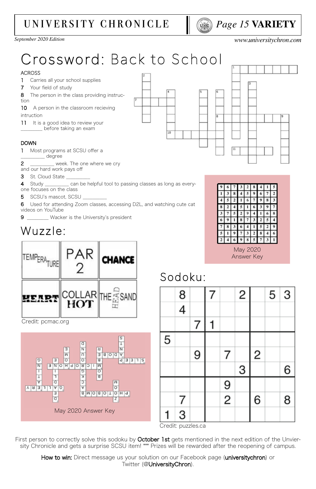## *Page 15* **VARIETY**

*September 2020 Edition [www.universitychron.com](http://universitychron.com/)*

## [university chronicle](http://universitychron.com/)



How to win: Direct message us your solution on our Facebook page (universitychron) or Twitter (@UniversityChron).



## Sodoku:



|   |  |                | 3 |   | 6 |
|---|--|----------------|---|---|---|
|   |  | g              |   |   |   |
| 7 |  | $\overline{2}$ |   | 6 | 8 |
| 3 |  |                |   |   |   |

Answer Key





Credit: pcmac.org

Credit: puzzles.ca

First person to correctly solve this sodoku by **October 1st** gets mentioned in the next edition of the Unviersity Chronicle and gets a surprise SCSU item! \*\*\* Prizes will be rewarded after the reopening of campus.